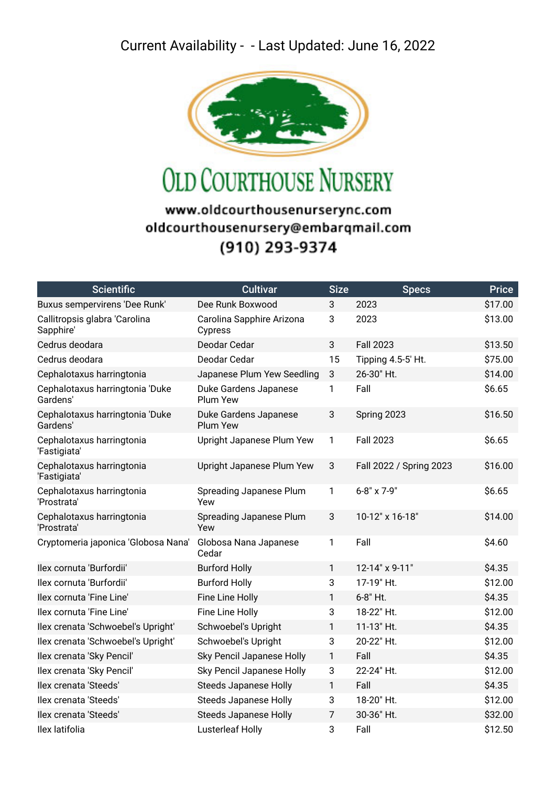## Current Availability - - Last Updated: June 16, 2022



**OLD COURTHOUSE NURSERY** 

## www.oldcourthousenurserync.com oldcourthousenursery@embarqmail.com (910) 293-9374

| <b>Scientific</b>                           | <b>Cultivar</b>                          | <b>Size</b>    | <b>Specs</b>            | <b>Price</b> |
|---------------------------------------------|------------------------------------------|----------------|-------------------------|--------------|
| Buxus sempervirens 'Dee Runk'               | Dee Runk Boxwood                         | 3              | 2023                    | \$17.00      |
| Callitropsis glabra 'Carolina<br>Sapphire'  | Carolina Sapphire Arizona<br>Cypress     | 3              | 2023                    | \$13.00      |
| Cedrus deodara                              | Deodar Cedar                             | 3              | <b>Fall 2023</b>        | \$13.50      |
| Cedrus deodara                              | Deodar Cedar                             | 15             | Tipping 4.5-5' Ht.      | \$75.00      |
| Cephalotaxus harringtonia                   | Japanese Plum Yew Seedling               | 3              | 26-30" Ht.              | \$14.00      |
| Cephalotaxus harringtonia 'Duke<br>Gardens' | Duke Gardens Japanese<br>Plum Yew        | 1              | Fall                    | \$6.65       |
| Cephalotaxus harringtonia 'Duke<br>Gardens' | Duke Gardens Japanese<br><b>Plum Yew</b> | 3              | Spring 2023             | \$16.50      |
| Cephalotaxus harringtonia<br>'Fastigiata'   | Upright Japanese Plum Yew                | $\mathbf{1}$   | <b>Fall 2023</b>        | \$6.65       |
| Cephalotaxus harringtonia<br>'Fastigiata'   | Upright Japanese Plum Yew                | 3              | Fall 2022 / Spring 2023 | \$16.00      |
| Cephalotaxus harringtonia<br>'Prostrata'    | Spreading Japanese Plum<br>Yew           | 1              | 6-8" x 7-9"             | \$6.65       |
| Cephalotaxus harringtonia<br>'Prostrata'    | Spreading Japanese Plum<br>Yew           | 3              | 10-12" x 16-18"         | \$14.00      |
| Cryptomeria japonica 'Globosa Nana'         | Globosa Nana Japanese<br>Cedar           | 1              | Fall                    | \$4.60       |
| llex cornuta 'Burfordii'                    | <b>Burford Holly</b>                     | $\mathbf{1}$   | 12-14" x 9-11"          | \$4.35       |
| Ilex cornuta 'Burfordii'                    | <b>Burford Holly</b>                     | 3              | 17-19" Ht.              | \$12.00      |
| llex cornuta 'Fine Line'                    | Fine Line Holly                          | 1              | 6-8" Ht.                | \$4.35       |
| llex cornuta 'Fine Line'                    | Fine Line Holly                          | 3              | 18-22" Ht.              | \$12.00      |
| Ilex crenata 'Schwoebel's Upright'          | Schwoebel's Upright                      | 1              | 11-13" Ht.              | \$4.35       |
| Ilex crenata 'Schwoebel's Upright'          | Schwoebel's Upright                      | 3              | 20-22" Ht.              | \$12.00      |
| Ilex crenata 'Sky Pencil'                   | Sky Pencil Japanese Holly                | $\mathbf{1}$   | Fall                    | \$4.35       |
| Ilex crenata 'Sky Pencil'                   | Sky Pencil Japanese Holly                | 3              | 22-24" Ht.              | \$12.00      |
| llex crenata 'Steeds'                       | <b>Steeds Japanese Holly</b>             | 1              | Fall                    | \$4.35       |
| llex crenata 'Steeds'                       | <b>Steeds Japanese Holly</b>             | 3              | 18-20" Ht.              | \$12.00      |
| llex crenata 'Steeds'                       | <b>Steeds Japanese Holly</b>             | $\overline{7}$ | 30-36" Ht.              | \$32.00      |
| Ilex latifolia                              | Lusterleaf Holly                         | 3              | Fall                    | \$12.50      |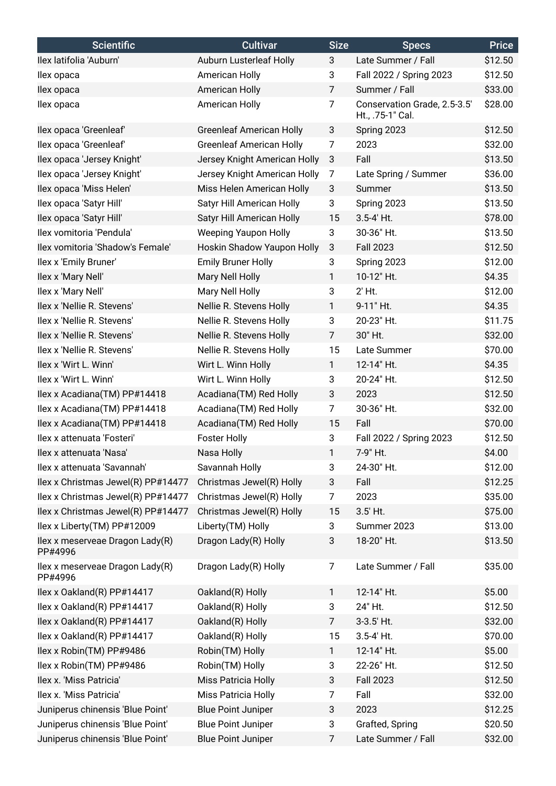| <b>Scientific</b>                          | <b>Cultivar</b>                 | <b>Size</b>    | <b>Specs</b>                                     | <b>Price</b> |
|--------------------------------------------|---------------------------------|----------------|--------------------------------------------------|--------------|
| Ilex latifolia 'Auburn'                    | Auburn Lusterleaf Holly         | 3              | Late Summer / Fall                               | \$12.50      |
| llex opaca                                 | American Holly                  | 3              | Fall 2022 / Spring 2023                          | \$12.50      |
| llex opaca                                 | American Holly                  | $\overline{7}$ | Summer / Fall                                    | \$33.00      |
| llex opaca                                 | American Holly                  | $\overline{7}$ | Conservation Grade, 2.5-3.5'<br>Ht., .75-1" Cal. | \$28.00      |
| llex opaca 'Greenleaf'                     | <b>Greenleaf American Holly</b> | 3              | Spring 2023                                      | \$12.50      |
| llex opaca 'Greenleaf'                     | <b>Greenleaf American Holly</b> | 7              | 2023                                             | \$32.00      |
| Ilex opaca 'Jersey Knight'                 | Jersey Knight American Holly    | 3              | Fall                                             | \$13.50      |
| Ilex opaca 'Jersey Knight'                 | Jersey Knight American Holly    | 7              | Late Spring / Summer                             | \$36.00      |
| Ilex opaca 'Miss Helen'                    | Miss Helen American Holly       | 3              | Summer                                           | \$13.50      |
| llex opaca 'Satyr Hill'                    | Satyr Hill American Holly       | 3              | Spring 2023                                      | \$13.50      |
| llex opaca 'Satyr Hill'                    | Satyr Hill American Holly       | 15             | 3.5-4' Ht.                                       | \$78.00      |
| Ilex vomitoria 'Pendula'                   | <b>Weeping Yaupon Holly</b>     | 3              | 30-36" Ht.                                       | \$13.50      |
| Ilex vomitoria 'Shadow's Female'           | Hoskin Shadow Yaupon Holly      | 3              | <b>Fall 2023</b>                                 | \$12.50      |
| llex x 'Emily Bruner'                      | <b>Emily Bruner Holly</b>       | 3              | Spring 2023                                      | \$12.00      |
| Ilex x 'Mary Nell'                         | Mary Nell Holly                 | 1              | 10-12" Ht.                                       | \$4.35       |
| Ilex x 'Mary Nell'                         | Mary Nell Holly                 | 3              | $2'$ Ht.                                         | \$12.00      |
| Ilex x 'Nellie R. Stevens'                 | Nellie R. Stevens Holly         | 1              | 9-11" Ht.                                        | \$4.35       |
| Ilex x 'Nellie R. Stevens'                 | Nellie R. Stevens Holly         | 3              | 20-23" Ht.                                       | \$11.75      |
| Ilex x 'Nellie R. Stevens'                 | Nellie R. Stevens Holly         | $\overline{7}$ | 30" Ht.                                          | \$32.00      |
| Ilex x 'Nellie R. Stevens'                 | Nellie R. Stevens Holly         | 15             | Late Summer                                      | \$70.00      |
| Ilex x 'Wirt L. Winn'                      | Wirt L. Winn Holly              | $\mathbf{1}$   | 12-14" Ht.                                       | \$4.35       |
| Ilex x 'Wirt L. Winn'                      | Wirt L. Winn Holly              | 3              | 20-24" Ht.                                       | \$12.50      |
| Ilex x Acadiana(TM) PP#14418               | Acadiana(TM) Red Holly          | 3              | 2023                                             | \$12.50      |
| Ilex x Acadiana(TM) PP#14418               | Acadiana(TM) Red Holly          | $\overline{7}$ | 30-36" Ht.                                       | \$32.00      |
| Ilex x Acadiana(TM) PP#14418               | Acadiana(TM) Red Holly          | 15             | Fall                                             | \$70.00      |
| llex x attenuata 'Fosteri'                 | <b>Foster Holly</b>             | 3              | Fall 2022 / Spring 2023                          | \$12.50      |
| Ilex x attenuata 'Nasa'                    | Nasa Holly                      | 1.             | 7-9" Ht.                                         | \$4.00       |
| Ilex x attenuata 'Savannah'                | Savannah Holly                  | 3              | 24-30" Ht.                                       | \$12.00      |
| Ilex x Christmas Jewel(R) PP#14477         | Christmas Jewel(R) Holly        | 3              | Fall                                             | \$12.25      |
| Ilex x Christmas Jewel(R) PP#14477         | Christmas Jewel(R) Holly        | 7              | 2023                                             | \$35.00      |
| Ilex x Christmas Jewel(R) PP#14477         | Christmas Jewel(R) Holly        | 15             | 3.5' Ht.                                         | \$75.00      |
| Ilex x Liberty(TM) PP#12009                | Liberty(TM) Holly               | 3              | Summer 2023                                      | \$13.00      |
| Ilex x meserveae Dragon Lady(R)<br>PP#4996 | Dragon Lady(R) Holly            | 3              | 18-20" Ht.                                       | \$13.50      |
| Ilex x meserveae Dragon Lady(R)<br>PP#4996 | Dragon Lady(R) Holly            | 7              | Late Summer / Fall                               | \$35.00      |
| llex x Oakland(R) PP#14417                 | Oakland(R) Holly                | $\mathbf{1}$   | 12-14" Ht.                                       | \$5.00       |
| llex x Oakland(R) PP#14417                 | Oakland(R) Holly                | 3              | 24" Ht.                                          | \$12.50      |
| llex x Oakland(R) PP#14417                 | Oakland(R) Holly                | $\overline{7}$ | 3-3.5' Ht.                                       | \$32.00      |
| Ilex x Oakland(R) PP#14417                 | Oakland(R) Holly                | 15             | 3.5-4' Ht.                                       | \$70.00      |
| llex x Robin(TM) PP#9486                   | Robin(TM) Holly                 | $\mathbf{1}$   | 12-14" Ht.                                       | \$5.00       |
| llex x Robin(TM) PP#9486                   | Robin(TM) Holly                 | 3              | 22-26" Ht.                                       | \$12.50      |
| Ilex x. 'Miss Patricia'                    | Miss Patricia Holly             | 3              | <b>Fall 2023</b>                                 | \$12.50      |
| Ilex x. 'Miss Patricia'                    | Miss Patricia Holly             | $\overline{7}$ | Fall                                             | \$32.00      |
| Juniperus chinensis 'Blue Point'           | <b>Blue Point Juniper</b>       | 3              | 2023                                             | \$12.25      |
| Juniperus chinensis 'Blue Point'           | <b>Blue Point Juniper</b>       | 3              | Grafted, Spring                                  | \$20.50      |
| Juniperus chinensis 'Blue Point'           | <b>Blue Point Juniper</b>       | 7              | Late Summer / Fall                               | \$32.00      |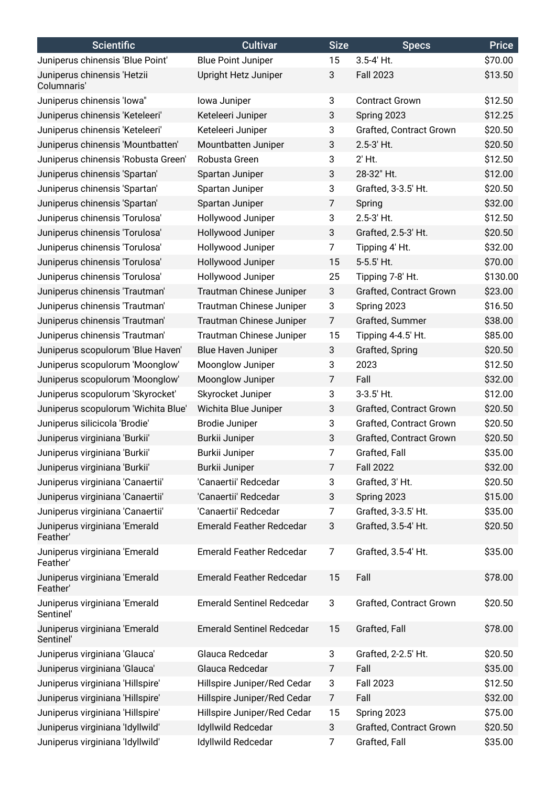| <b>Scientific</b>                          | <b>Cultivar</b>                  | <b>Size</b>    | <b>Specs</b>                   | <b>Price</b> |
|--------------------------------------------|----------------------------------|----------------|--------------------------------|--------------|
| Juniperus chinensis 'Blue Point'           | <b>Blue Point Juniper</b>        | 15             | 3.5-4' Ht.                     | \$70.00      |
| Juniperus chinensis 'Hetzii<br>Columnaris' | Upright Hetz Juniper             | 3              | <b>Fall 2023</b>               | \$13.50      |
| Juniperus chinensis 'lowa"                 | lowa Juniper                     | 3              | <b>Contract Grown</b>          | \$12.50      |
| Juniperus chinensis 'Keteleeri'            | Keteleeri Juniper                | 3              | Spring 2023                    | \$12.25      |
| Juniperus chinensis 'Keteleeri'            | Keteleeri Juniper                | 3              | <b>Grafted, Contract Grown</b> | \$20.50      |
| Juniperus chinensis 'Mountbatten'          | Mountbatten Juniper              | 3              | 2.5-3' Ht.                     | \$20.50      |
| Juniperus chinensis 'Robusta Green'        | Robusta Green                    | 3              | $2'$ Ht.                       | \$12.50      |
| Juniperus chinensis 'Spartan'              | Spartan Juniper                  | 3              | 28-32" Ht.                     | \$12.00      |
| Juniperus chinensis 'Spartan'              | Spartan Juniper                  | 3              | Grafted, 3-3.5' Ht.            | \$20.50      |
| Juniperus chinensis 'Spartan'              | Spartan Juniper                  | 7              | Spring                         | \$32.00      |
| Juniperus chinensis 'Torulosa'             | Hollywood Juniper                | 3              | 2.5-3' Ht.                     | \$12.50      |
| Juniperus chinensis 'Torulosa'             | Hollywood Juniper                | 3              | Grafted, 2.5-3' Ht.            | \$20.50      |
| Juniperus chinensis 'Torulosa'             | Hollywood Juniper                | $\overline{7}$ | Tipping 4' Ht.                 | \$32.00      |
| Juniperus chinensis 'Torulosa'             | Hollywood Juniper                | 15             | 5-5.5' Ht.                     | \$70.00      |
| Juniperus chinensis 'Torulosa'             | Hollywood Juniper                | 25             | Tipping 7-8' Ht.               | \$130.00     |
| Juniperus chinensis 'Trautman'             | Trautman Chinese Juniper         | 3              | Grafted, Contract Grown        | \$23.00      |
| Juniperus chinensis 'Trautman'             | Trautman Chinese Juniper         | 3              | Spring 2023                    | \$16.50      |
| Juniperus chinensis 'Trautman'             | Trautman Chinese Juniper         | $\overline{7}$ | Grafted, Summer                | \$38.00      |
| Juniperus chinensis 'Trautman'             | Trautman Chinese Juniper         | 15             | Tipping 4-4.5' Ht.             | \$85.00      |
| Juniperus scopulorum 'Blue Haven'          | Blue Haven Juniper               | 3              | Grafted, Spring                | \$20.50      |
| Juniperus scopulorum 'Moonglow'            | Moonglow Juniper                 | 3              | 2023                           | \$12.50      |
| Juniperus scopulorum 'Moonglow'            | Moonglow Juniper                 | 7              | Fall                           | \$32.00      |
| Juniperus scopulorum 'Skyrocket'           | Skyrocket Juniper                | 3              | 3-3.5' Ht.                     | \$12.00      |
| Juniperus scopulorum 'Wichita Blue'        | Wichita Blue Juniper             | 3              | Grafted, Contract Grown        | \$20.50      |
| Juniperus silicicola 'Brodie'              | <b>Brodie Juniper</b>            | 3              | <b>Grafted, Contract Grown</b> | \$20.50      |
| Juniperus virginiana 'Burkii'              | Burkii Juniper                   | 3              | Grafted, Contract Grown        | \$20.50      |
| Juniperus virginiana 'Burkii'              | Burkii Juniper                   | 7              | Grafted, Fall                  | \$35.00      |
| Juniperus virginiana 'Burkii'              | Burkii Juniper                   | $\overline{7}$ | <b>Fall 2022</b>               | \$32.00      |
| Juniperus virginiana 'Canaertii'           | 'Canaertii' Redcedar             | 3              | Grafted, 3' Ht.                | \$20.50      |
| Juniperus virginiana 'Canaertii'           | 'Canaertii' Redcedar             | 3              | Spring 2023                    | \$15.00      |
| Juniperus virginiana 'Canaertii'           | 'Canaertii' Redcedar             | 7              | Grafted, 3-3.5' Ht.            | \$35.00      |
| Juniperus virginiana 'Emerald<br>Feather'  | <b>Emerald Feather Redcedar</b>  | 3              | Grafted, 3.5-4' Ht.            | \$20.50      |
| Juniperus virginiana 'Emerald<br>Feather'  | <b>Emerald Feather Redcedar</b>  | 7              | Grafted, 3.5-4' Ht.            | \$35.00      |
| Juniperus virginiana 'Emerald<br>Feather'  | <b>Emerald Feather Redcedar</b>  | 15             | Fall                           | \$78.00      |
| Juniperus virginiana 'Emerald<br>Sentinel' | <b>Emerald Sentinel Redcedar</b> | 3              | Grafted, Contract Grown        | \$20.50      |
| Juniperus virginiana 'Emerald<br>Sentinel' | <b>Emerald Sentinel Redcedar</b> | 15             | Grafted, Fall                  | \$78.00      |
| Juniperus virginiana 'Glauca'              | Glauca Redcedar                  | 3              | Grafted, 2-2.5' Ht.            | \$20.50      |
| Juniperus virginiana 'Glauca'              | Glauca Redcedar                  | 7              | Fall                           | \$35.00      |
| Juniperus virginiana 'Hillspire'           | Hillspire Juniper/Red Cedar      | 3              | <b>Fall 2023</b>               | \$12.50      |
| Juniperus virginiana 'Hillspire'           | Hillspire Juniper/Red Cedar      | 7              | Fall                           | \$32.00      |
| Juniperus virginiana 'Hillspire'           | Hillspire Juniper/Red Cedar      | 15             | Spring 2023                    | \$75.00      |
| Juniperus virginiana 'Idyllwild'           | Idyllwild Redcedar               | 3              | Grafted, Contract Grown        | \$20.50      |
| Juniperus virginiana 'Idyllwild'           | Idyllwild Redcedar               | 7              | Grafted, Fall                  | \$35.00      |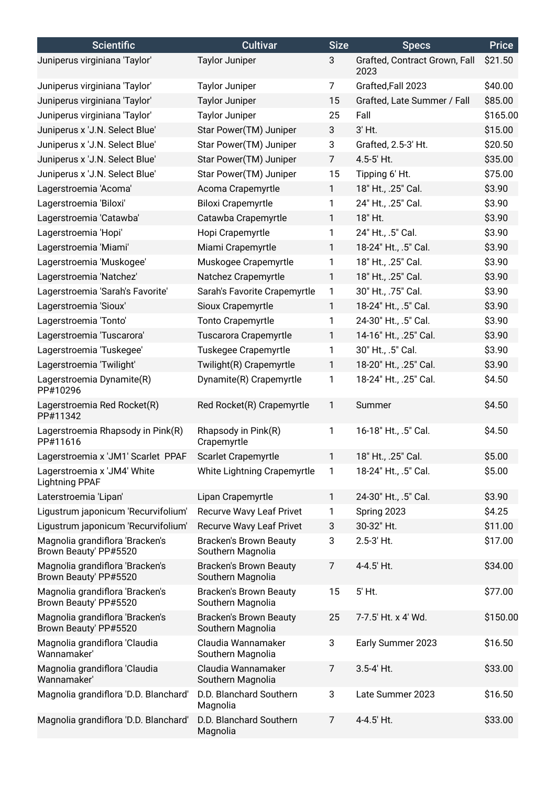| <b>Scientific</b>                                        | <b>Cultivar</b>                                    | <b>Size</b>    | <b>Specs</b>                          | <b>Price</b> |
|----------------------------------------------------------|----------------------------------------------------|----------------|---------------------------------------|--------------|
| Juniperus virginiana 'Taylor'                            | <b>Taylor Juniper</b>                              | 3              | Grafted, Contract Grown, Fall<br>2023 | \$21.50      |
| Juniperus virginiana 'Taylor'                            | <b>Taylor Juniper</b>                              | $\overline{7}$ | Grafted, Fall 2023                    | \$40.00      |
| Juniperus virginiana 'Taylor'                            | <b>Taylor Juniper</b>                              | 15             | Grafted, Late Summer / Fall           | \$85.00      |
| Juniperus virginiana 'Taylor'                            | <b>Taylor Juniper</b>                              | 25             | Fall                                  | \$165.00     |
| Juniperus x 'J.N. Select Blue'                           | Star Power(TM) Juniper                             | 3              | 3' Ht.                                | \$15.00      |
| Juniperus x 'J.N. Select Blue'                           | Star Power(TM) Juniper                             | 3              | Grafted, 2.5-3' Ht.                   | \$20.50      |
| Juniperus x 'J.N. Select Blue'                           | Star Power(TM) Juniper                             | $\overline{7}$ | 4.5-5' Ht.                            | \$35.00      |
| Juniperus x 'J.N. Select Blue'                           | Star Power(TM) Juniper                             | 15             | Tipping 6' Ht.                        | \$75.00      |
| Lagerstroemia 'Acoma'                                    | Acoma Crapemyrtle                                  | $\mathbf{1}$   | 18" Ht., .25" Cal.                    | \$3.90       |
| Lagerstroemia 'Biloxi'                                   | <b>Biloxi Crapemyrtle</b>                          | $\mathbf{1}$   | 24" Ht., .25" Cal.                    | \$3.90       |
| Lagerstroemia 'Catawba'                                  | Catawba Crapemyrtle                                | $\mathbf{1}$   | 18" Ht.                               | \$3.90       |
| Lagerstroemia 'Hopi'                                     | Hopi Crapemyrtle                                   | $\mathbf{1}$   | 24" Ht., .5" Cal.                     | \$3.90       |
| Lagerstroemia 'Miami'                                    | Miami Crapemyrtle                                  | $\mathbf{1}$   | 18-24" Ht., .5" Cal.                  | \$3.90       |
| Lagerstroemia 'Muskogee'                                 | Muskogee Crapemyrtle                               | 1              | 18" Ht., .25" Cal.                    | \$3.90       |
| Lagerstroemia 'Natchez'                                  | Natchez Crapemyrtle                                | $\mathbf{1}$   | 18" Ht., .25" Cal.                    | \$3.90       |
| Lagerstroemia 'Sarah's Favorite'                         | Sarah's Favorite Crapemyrtle                       | 1              | 30" Ht., .75" Cal.                    | \$3.90       |
| Lagerstroemia 'Sioux'                                    | Sioux Crapemyrtle                                  | 1              | 18-24" Ht., .5" Cal.                  | \$3.90       |
| Lagerstroemia 'Tonto'                                    | <b>Tonto Crapemyrtle</b>                           | 1              | 24-30" Ht., .5" Cal.                  | \$3.90       |
| Lagerstroemia 'Tuscarora'                                | Tuscarora Crapemyrtle                              | $\mathbf{1}$   | 14-16" Ht., .25" Cal.                 | \$3.90       |
| Lagerstroemia 'Tuskegee'                                 | Tuskegee Crapemyrtle                               | 1              | 30" Ht., .5" Cal.                     | \$3.90       |
| Lagerstroemia 'Twilight'                                 | Twilight(R) Crapemyrtle                            | $\mathbf{1}$   | 18-20" Ht., .25" Cal.                 | \$3.90       |
| Lagerstroemia Dynamite(R)<br>PP#10296                    | Dynamite(R) Crapemyrtle                            | 1              | 18-24" Ht., .25" Cal.                 | \$4.50       |
| Lagerstroemia Red Rocket(R)<br>PP#11342                  | Red Rocket(R) Crapemyrtle                          | $\mathbf{1}$   | Summer                                | \$4.50       |
| Lagerstroemia Rhapsody in Pink(R)<br>PP#11616            | Rhapsody in Pink(R)<br>Crapemyrtle                 | 1              | 16-18" Ht., .5" Cal.                  | \$4.50       |
| Lagerstroemia x 'JM1' Scarlet PPAF                       | Scarlet Crapemyrtle                                | $\mathbf{1}$   | 18" Ht., .25" Cal.                    | \$5.00       |
| Lagerstroemia x 'JM4' White<br><b>Lightning PPAF</b>     | White Lightning Crapemyrtle                        | $\mathbf{1}$   | 18-24" Ht., .5" Cal.                  | \$5.00       |
| Laterstroemia 'Lipan'                                    | Lipan Crapemyrtle                                  | $\mathbf{1}$   | 24-30" Ht., .5" Cal.                  | \$3.90       |
| Ligustrum japonicum 'Recurvifolium'                      | <b>Recurve Wavy Leaf Privet</b>                    | 1              | Spring 2023                           | \$4.25       |
| Ligustrum japonicum 'Recurvifolium'                      | <b>Recurve Wavy Leaf Privet</b>                    | 3              | 30-32" Ht.                            | \$11.00      |
| Magnolia grandiflora 'Bracken's<br>Brown Beauty' PP#5520 | <b>Bracken's Brown Beauty</b><br>Southern Magnolia | 3              | 2.5-3' Ht.                            | \$17.00      |
| Magnolia grandiflora 'Bracken's<br>Brown Beauty' PP#5520 | <b>Bracken's Brown Beauty</b><br>Southern Magnolia | 7              | 4-4.5' Ht.                            | \$34.00      |
| Magnolia grandiflora 'Bracken's<br>Brown Beauty' PP#5520 | <b>Bracken's Brown Beauty</b><br>Southern Magnolia | 15             | 5' Ht.                                | \$77.00      |
| Magnolia grandiflora 'Bracken's<br>Brown Beauty' PP#5520 | <b>Bracken's Brown Beauty</b><br>Southern Magnolia | 25             | 7-7.5' Ht. x 4' Wd.                   | \$150.00     |
| Magnolia grandiflora 'Claudia<br>Wannamaker'             | Claudia Wannamaker<br>Southern Magnolia            | 3              | Early Summer 2023                     | \$16.50      |
| Magnolia grandiflora 'Claudia<br>Wannamaker'             | Claudia Wannamaker<br>Southern Magnolia            | $\overline{7}$ | 3.5-4' Ht.                            | \$33.00      |
| Magnolia grandiflora 'D.D. Blanchard'                    | D.D. Blanchard Southern<br>Magnolia                | 3              | Late Summer 2023                      | \$16.50      |
| Magnolia grandiflora 'D.D. Blanchard'                    | D.D. Blanchard Southern<br>Magnolia                | 7              | 4-4.5' Ht.                            | \$33.00      |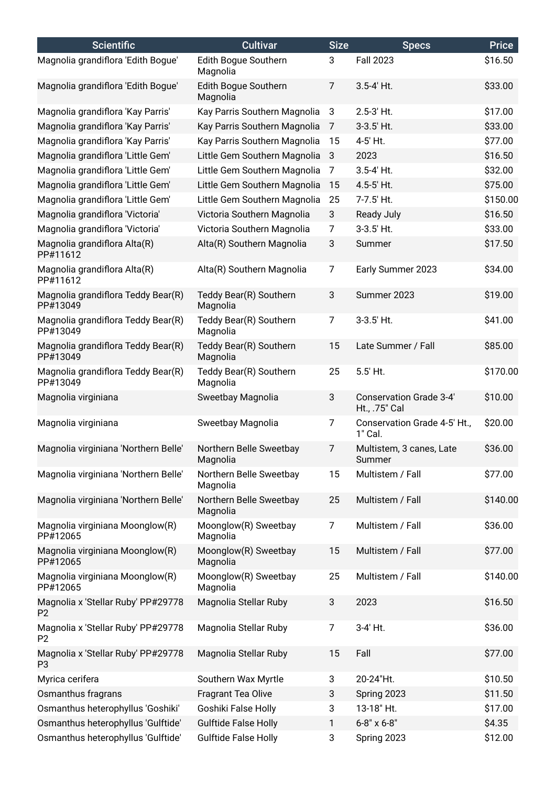| <b>Scientific</b>                                    | <b>Cultivar</b>                     | <b>Size</b>    | <b>Specs</b>                                    | <b>Price</b> |
|------------------------------------------------------|-------------------------------------|----------------|-------------------------------------------------|--------------|
| Magnolia grandiflora 'Edith Bogue'                   | Edith Bogue Southern<br>Magnolia    | 3              | <b>Fall 2023</b>                                | \$16.50      |
| Magnolia grandiflora 'Edith Bogue'                   | Edith Bogue Southern<br>Magnolia    | $\overline{7}$ | 3.5-4' Ht.                                      | \$33.00      |
| Magnolia grandiflora 'Kay Parris'                    | Kay Parris Southern Magnolia        | 3              | 2.5-3' Ht.                                      | \$17.00      |
| Magnolia grandiflora 'Kay Parris'                    | Kay Parris Southern Magnolia        | $\overline{7}$ | 3-3.5' Ht.                                      | \$33.00      |
| Magnolia grandiflora 'Kay Parris'                    | Kay Parris Southern Magnolia        | 15             | 4-5' Ht.                                        | \$77.00      |
| Magnolia grandiflora 'Little Gem'                    | Little Gem Southern Magnolia        | 3              | 2023                                            | \$16.50      |
| Magnolia grandiflora 'Little Gem'                    | Little Gem Southern Magnolia        | 7              | 3.5-4' Ht.                                      | \$32.00      |
| Magnolia grandiflora 'Little Gem'                    | Little Gem Southern Magnolia        | 15             | 4.5-5' Ht.                                      | \$75.00      |
| Magnolia grandiflora 'Little Gem'                    | Little Gem Southern Magnolia        | 25             | 7-7.5' Ht.                                      | \$150.00     |
| Magnolia grandiflora 'Victoria'                      | Victoria Southern Magnolia          | 3              | <b>Ready July</b>                               | \$16.50      |
| Magnolia grandiflora 'Victoria'                      | Victoria Southern Magnolia          | 7              | 3-3.5' Ht.                                      | \$33.00      |
| Magnolia grandiflora Alta(R)<br>PP#11612             | Alta(R) Southern Magnolia           | 3              | Summer                                          | \$17.50      |
| Magnolia grandiflora Alta(R)<br>PP#11612             | Alta(R) Southern Magnolia           | $\overline{7}$ | Early Summer 2023                               | \$34.00      |
| Magnolia grandiflora Teddy Bear(R)<br>PP#13049       | Teddy Bear(R) Southern<br>Magnolia  | 3              | Summer 2023                                     | \$19.00      |
| Magnolia grandiflora Teddy Bear(R)<br>PP#13049       | Teddy Bear(R) Southern<br>Magnolia  | $\overline{7}$ | 3-3.5' Ht.                                      | \$41.00      |
| Magnolia grandiflora Teddy Bear(R)<br>PP#13049       | Teddy Bear(R) Southern<br>Magnolia  | 15             | Late Summer / Fall                              | \$85.00      |
| Magnolia grandiflora Teddy Bear(R)<br>PP#13049       | Teddy Bear(R) Southern<br>Magnolia  | 25             | 5.5' Ht.                                        | \$170.00     |
| Magnolia virginiana                                  | Sweetbay Magnolia                   | 3              | <b>Conservation Grade 3-4'</b><br>Ht., .75" Cal | \$10.00      |
| Magnolia virginiana                                  | Sweetbay Magnolia                   | 7              | Conservation Grade 4-5' Ht.,<br>1" Cal.         | \$20.00      |
| Magnolia virginiana 'Northern Belle'                 | Northern Belle Sweetbay<br>Magnolia | 7              | Multistem, 3 canes, Late<br>Summer              | \$36.00      |
| Magnolia virginiana 'Northern Belle'                 | Northern Belle Sweetbay<br>Magnolia | 15             | Multistem / Fall                                | \$77.00      |
| Magnolia virginiana 'Northern Belle'                 | Northern Belle Sweetbay<br>Magnolia | 25             | Multistem / Fall                                | \$140.00     |
| Magnolia virginiana Moonglow(R)<br>PP#12065          | Moonglow(R) Sweetbay<br>Magnolia    | 7              | Multistem / Fall                                | \$36.00      |
| Magnolia virginiana Moonglow(R)<br>PP#12065          | Moonglow(R) Sweetbay<br>Magnolia    | 15             | Multistem / Fall                                | \$77.00      |
| Magnolia virginiana Moonglow(R)<br>PP#12065          | Moonglow(R) Sweetbay<br>Magnolia    | 25             | Multistem / Fall                                | \$140.00     |
| Magnolia x 'Stellar Ruby' PP#29778<br>P <sub>2</sub> | Magnolia Stellar Ruby               | 3              | 2023                                            | \$16.50      |
| Magnolia x 'Stellar Ruby' PP#29778<br>P <sub>2</sub> | Magnolia Stellar Ruby               | $\overline{7}$ | 3-4' Ht.                                        | \$36.00      |
| Magnolia x 'Stellar Ruby' PP#29778<br>P <sub>3</sub> | Magnolia Stellar Ruby               | 15             | Fall                                            | \$77.00      |
| Myrica cerifera                                      | Southern Wax Myrtle                 | 3              | 20-24"Ht.                                       | \$10.50      |
| Osmanthus fragrans                                   | Fragrant Tea Olive                  | 3              | Spring 2023                                     | \$11.50      |
| Osmanthus heterophyllus 'Goshiki'                    | Goshiki False Holly                 | 3              | 13-18" Ht.                                      | \$17.00      |
| Osmanthus heterophyllus 'Gulftide'                   | <b>Gulftide False Holly</b>         | $\mathbf{1}$   | 6-8" x 6-8"                                     | \$4.35       |
| Osmanthus heterophyllus 'Gulftide'                   | <b>Gulftide False Holly</b>         | 3              | Spring 2023                                     | \$12.00      |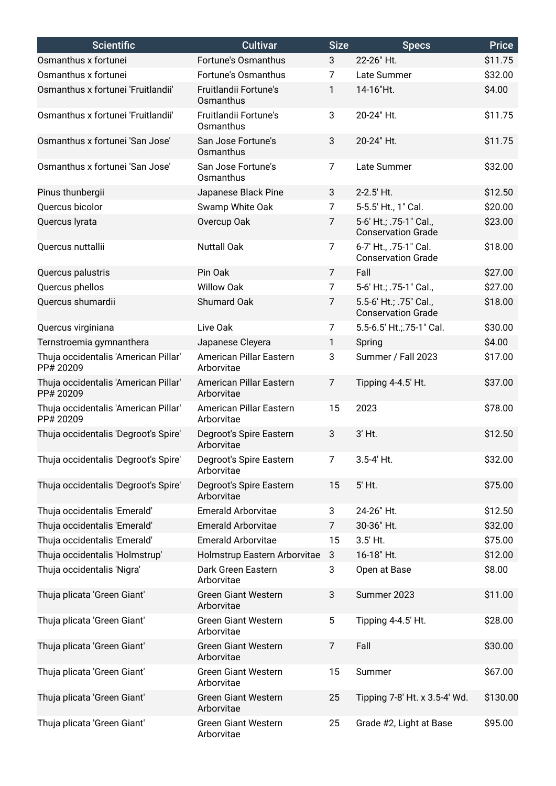| <b>Scientific</b>                                 | <b>Cultivar</b>                          | <b>Size</b>    | <b>Specs</b>                                        | <b>Price</b> |
|---------------------------------------------------|------------------------------------------|----------------|-----------------------------------------------------|--------------|
| Osmanthus x fortunei                              | Fortune's Osmanthus                      | 3              | 22-26" Ht.                                          | \$11.75      |
| Osmanthus x fortunei                              | Fortune's Osmanthus                      | 7              | Late Summer                                         | \$32.00      |
| Osmanthus x fortunei 'Fruitlandii'                | Fruitlandii Fortune's<br>Osmanthus       | 1              | 14-16"Ht.                                           | \$4.00       |
| Osmanthus x fortunei 'Fruitlandii'                | Fruitlandii Fortune's<br>Osmanthus       | 3              | 20-24" Ht.                                          | \$11.75      |
| Osmanthus x fortunei 'San Jose'                   | San Jose Fortune's<br>Osmanthus          | 3              | 20-24" Ht.                                          | \$11.75      |
| Osmanthus x fortunei 'San Jose'                   | San Jose Fortune's<br>Osmanthus          | 7              | Late Summer                                         | \$32.00      |
| Pinus thunbergii                                  | Japanese Black Pine                      | 3              | 2-2.5' Ht.                                          | \$12.50      |
| Quercus bicolor                                   | Swamp White Oak                          | $\overline{7}$ | 5-5.5' Ht., 1" Cal.                                 | \$20.00      |
| Quercus lyrata                                    | Overcup Oak                              | 7              | 5-6' Ht.; .75-1" Cal.,<br><b>Conservation Grade</b> | \$23.00      |
| Quercus nuttallii                                 | <b>Nuttall Oak</b>                       | $\overline{7}$ | 6-7' Ht., .75-1" Cal.<br><b>Conservation Grade</b>  | \$18.00      |
| Quercus palustris                                 | Pin Oak                                  | $\overline{7}$ | Fall                                                | \$27.00      |
| Quercus phellos                                   | <b>Willow Oak</b>                        | $\overline{7}$ | 5-6' Ht.; .75-1" Cal.,                              | \$27.00      |
| Quercus shumardii                                 | Shumard Oak                              | $\overline{7}$ | 5.5-6' Ht.; .75" Cal.,<br><b>Conservation Grade</b> | \$18.00      |
| Quercus virginiana                                | Live Oak                                 | 7              | 5.5-6.5' Ht.;.75-1" Cal.                            | \$30.00      |
| Ternstroemia gymnanthera                          | Japanese Cleyera                         | $\mathbf{1}$   | Spring                                              | \$4.00       |
| Thuja occidentalis 'American Pillar'<br>PP# 20209 | American Pillar Eastern<br>Arborvitae    | 3              | Summer / Fall 2023                                  | \$17.00      |
| Thuja occidentalis 'American Pillar'<br>PP# 20209 | American Pillar Eastern<br>Arborvitae    | $\overline{7}$ | Tipping 4-4.5' Ht.                                  | \$37.00      |
| Thuja occidentalis 'American Pillar'<br>PP# 20209 | American Pillar Eastern<br>Arborvitae    | 15             | 2023                                                | \$78.00      |
| Thuja occidentalis 'Degroot's Spire'              | Degroot's Spire Eastern<br>Arborvitae    | 3              | 3' Ht.                                              | \$12.50      |
| Thuja occidentalis 'Degroot's Spire'              | Degroot's Spire Eastern<br>Arborvitae    | $\overline{7}$ | 3.5-4' Ht.                                          | \$32.00      |
| Thuja occidentalis 'Degroot's Spire'              | Degroot's Spire Eastern<br>Arborvitae    | 15             | 5' Ht.                                              | \$75.00      |
| Thuja occidentalis 'Emerald'                      | <b>Emerald Arborvitae</b>                | 3              | 24-26" Ht.                                          | \$12.50      |
| Thuja occidentalis 'Emerald'                      | <b>Emerald Arborvitae</b>                | 7              | 30-36" Ht.                                          | \$32.00      |
| Thuja occidentalis 'Emerald'                      | <b>Emerald Arborvitae</b>                | 15             | 3.5' Ht.                                            | \$75.00      |
| Thuja occidentalis 'Holmstrup'                    | Holmstrup Eastern Arborvitae             | $\mathbf{3}$   | 16-18" Ht.                                          | \$12.00      |
| Thuja occidentalis 'Nigra'                        | Dark Green Eastern<br>Arborvitae         | 3              | Open at Base                                        | \$8.00       |
| Thuja plicata 'Green Giant'                       | <b>Green Giant Western</b><br>Arborvitae | 3              | Summer 2023                                         | \$11.00      |
| Thuja plicata 'Green Giant'                       | <b>Green Giant Western</b><br>Arborvitae | 5              | Tipping 4-4.5' Ht.                                  | \$28.00      |
| Thuja plicata 'Green Giant'                       | <b>Green Giant Western</b><br>Arborvitae | 7              | Fall                                                | \$30.00      |
| Thuja plicata 'Green Giant'                       | <b>Green Giant Western</b><br>Arborvitae | 15             | Summer                                              | \$67.00      |
| Thuja plicata 'Green Giant'                       | <b>Green Giant Western</b><br>Arborvitae | 25             | Tipping 7-8' Ht. x 3.5-4' Wd.                       | \$130.00     |
| Thuja plicata 'Green Giant'                       | <b>Green Giant Western</b><br>Arborvitae | 25             | Grade #2, Light at Base                             | \$95.00      |